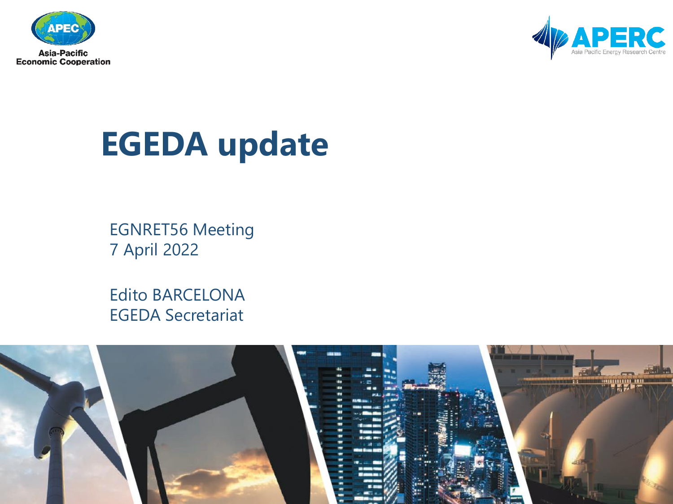



## **EGEDA update**

EGNRET56 Meeting 7 April 2022

Edito BARCELONA EGEDA Secretariat

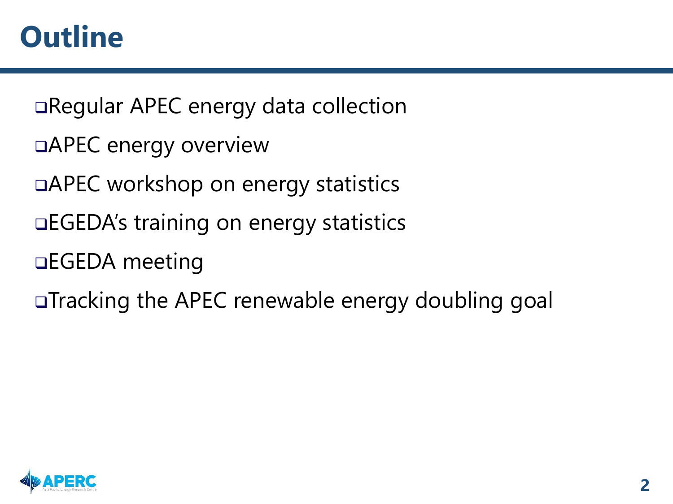❑Regular APEC energy data collection

- ❑APEC energy overview
- ❑APEC workshop on energy statistics
- ❑EGEDA's training on energy statistics
- ❑EGEDA meeting
- ❑Tracking the APEC renewable energy doubling goal

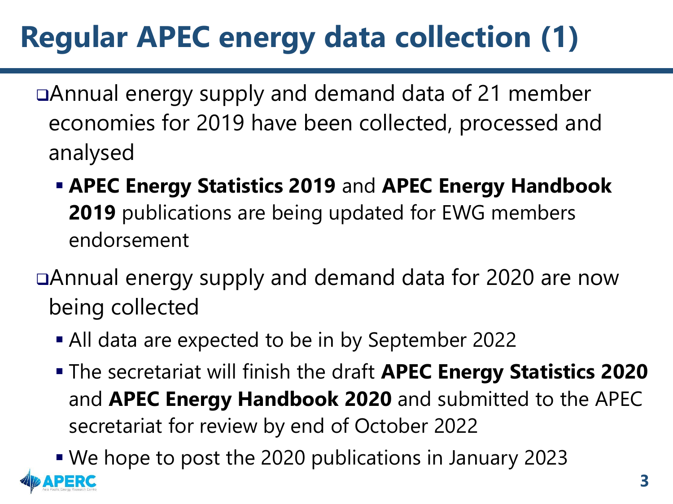## **Regular APEC energy data collection (1)**

❑Annual energy supply and demand data of 21 member economies for 2019 have been collected, processed and analysed

▪ **APEC Energy Statistics 2019** and **APEC Energy Handbook 2019** publications are being updated for EWG members endorsement

❑Annual energy supply and demand data for 2020 are now being collected

- All data are expected to be in by September 2022
- The secretariat will finish the draft **APEC Energy Statistics 2020**  and **APEC Energy Handbook 2020** and submitted to the APEC secretariat for review by end of October 2022

■ We hope to post the 2020 publications in January 2023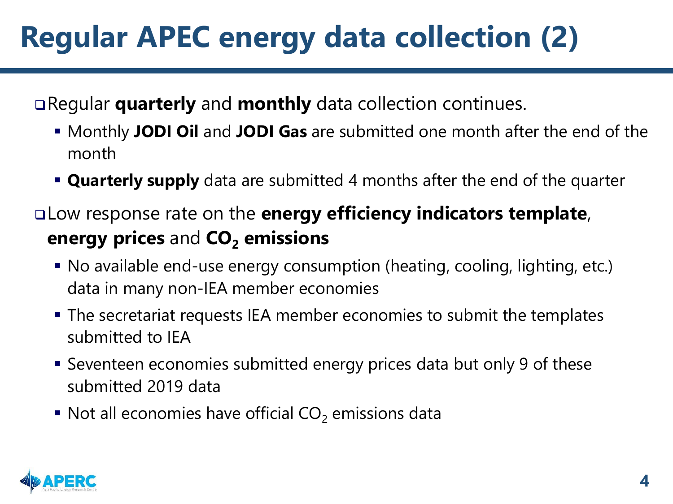## **Regular APEC energy data collection (2)**

❑Regular **quarterly** and **monthly** data collection continues.

- Monthly **JODI Oil** and **JODI Gas** are submitted one month after the end of the month
- **Quarterly supply** data are submitted 4 months after the end of the quarter
- ❑Low response rate on the **energy efficiency indicators template**, **energy prices** and **CO<sup>2</sup> emissions**
	- No available end-use energy consumption (heating, cooling, lighting, etc.) data in many non-IEA member economies
	- The secretariat requests IEA member economies to submit the templates submitted to IEA
	- Seventeen economies submitted energy prices data but only 9 of these submitted 2019 data
	- $\blacksquare$  Not all economies have official CO<sub>2</sub> emissions data

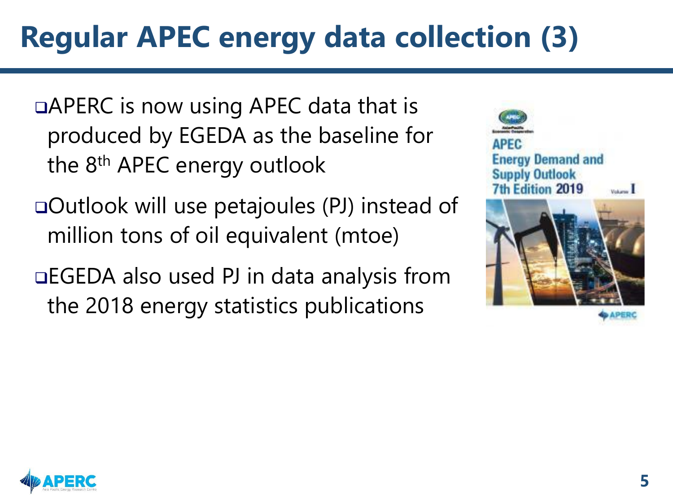## **Regular APEC energy data collection (3)**

❑APERC is now using APEC data that is produced by EGEDA as the baseline for the 8<sup>th</sup> APEC energy outlook

❑Outlook will use petajoules (PJ) instead of million tons of oil equivalent (mtoe)

❑EGEDA also used PJ in data analysis from the 2018 energy statistics publications



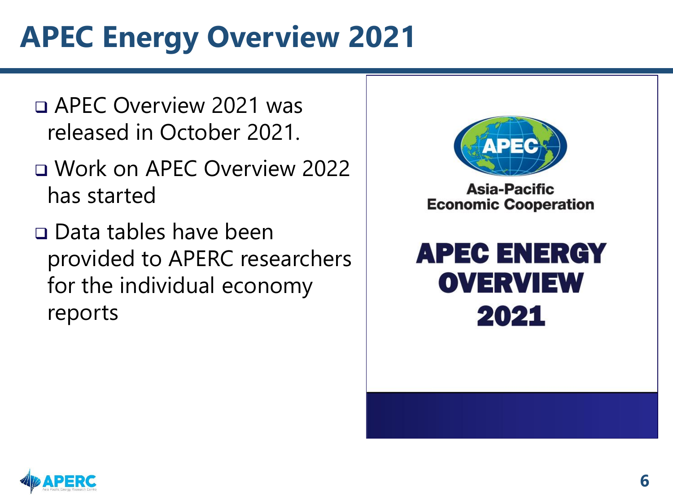## **APEC Energy Overview 2021**

- ❑ APEC Overview 2021 was released in October 2021.
- ❑ Work on APEC Overview 2022 has started
- ❑ Data tables have been provided to APERC researchers for the individual economy reports



Asia-Pacific **Economic Cooperation** 



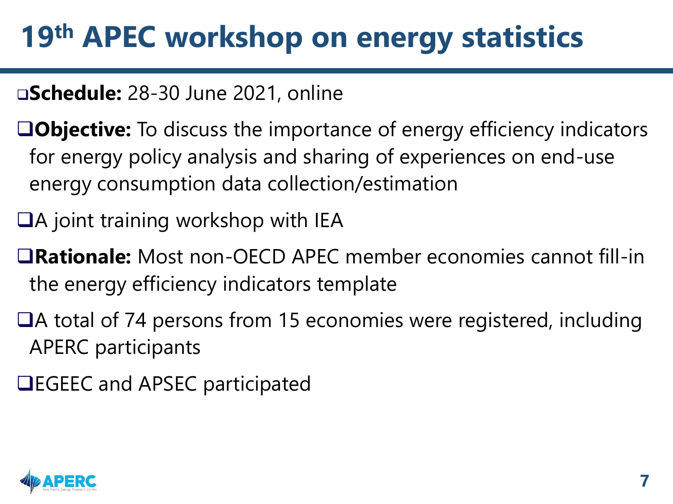## **19th APEC workshop on energy statistics**

### ❑**Schedule:** 28-30 June 2021, online

- ❑**Objective:** To discuss the importance of energy efficiency indicators for energy policy analysis and sharing of experiences on end-use energy consumption data collection/estimation
- ❑A joint training workshop with IEA
- ❑**Rationale:** Most non-OECD APEC member economies cannot fill-in the energy efficiency indicators template
- ❑A total of 74 persons from 15 economies were registered, including APERC participants
- ❑EGEEC and APSEC participated

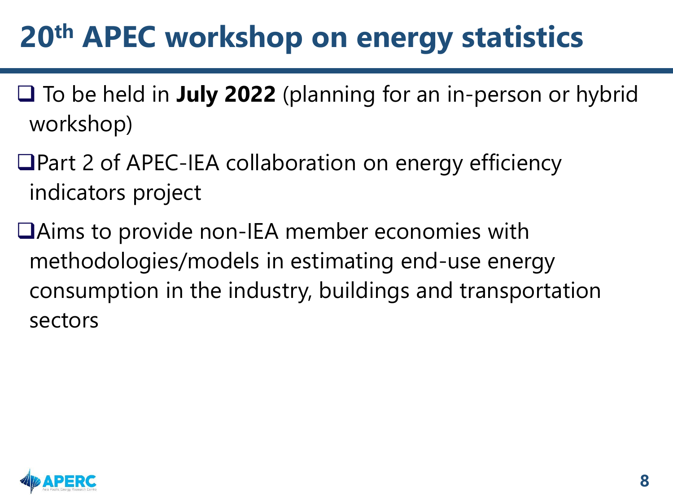## **20th APEC workshop on energy statistics**

- ❑ To be held in **July 2022** (planning for an in-person or hybrid workshop)
- ❑Part 2 of APEC-IEA collaboration on energy efficiency indicators project
- ❑Aims to provide non-IEA member economies with methodologies/models in estimating end-use energy consumption in the industry, buildings and transportation sectors

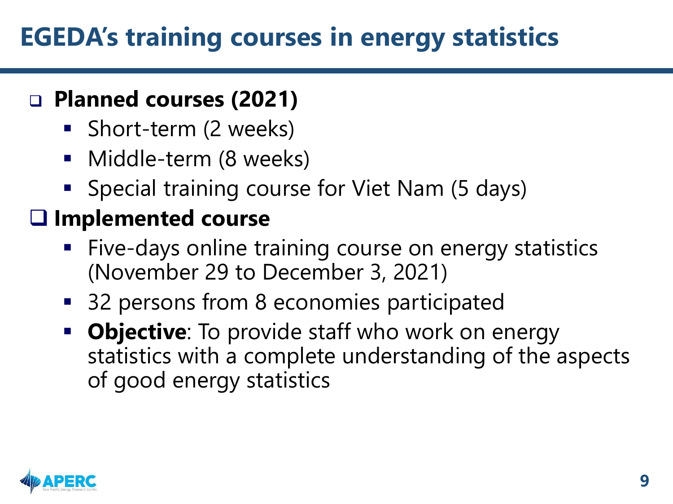### **EGEDA's training courses in energy statistics**

### ❑ **Planned courses (2021)**

- Short-term (2 weeks)
- Middle-term (8 weeks)
- Special training course for Viet Nam (5 days)

### ❑ **Implemented course**

- Five-days online training course on energy statistics (November 29 to December 3, 2021)
- 32 persons from 8 economies participated
- **Objective**: To provide staff who work on energy statistics with a complete understanding of the aspects of good energy statistics

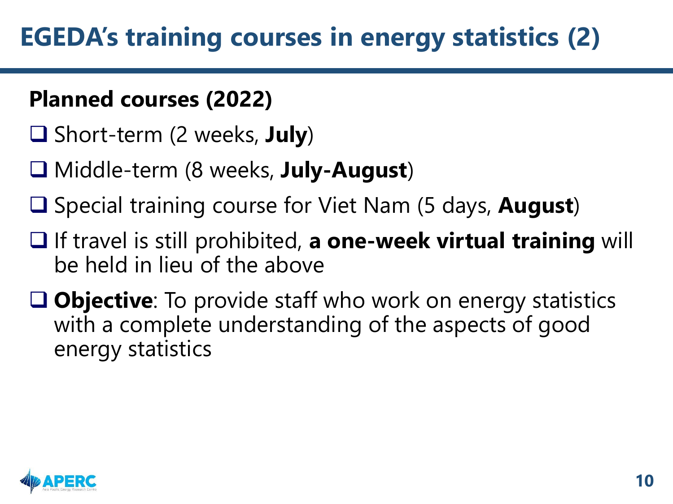### **Planned courses (2022)**

- ❑ Short-term (2 weeks, **July**)
- ❑ Middle-term (8 weeks, **July-August**)
- ❑ Special training course for Viet Nam (5 days, **August**)
- ❑ If travel is still prohibited, **a one-week virtual training** will be held in lieu of the above
- ❑ **Objective**: To provide staff who work on energy statistics with a complete understanding of the aspects of good energy statistics

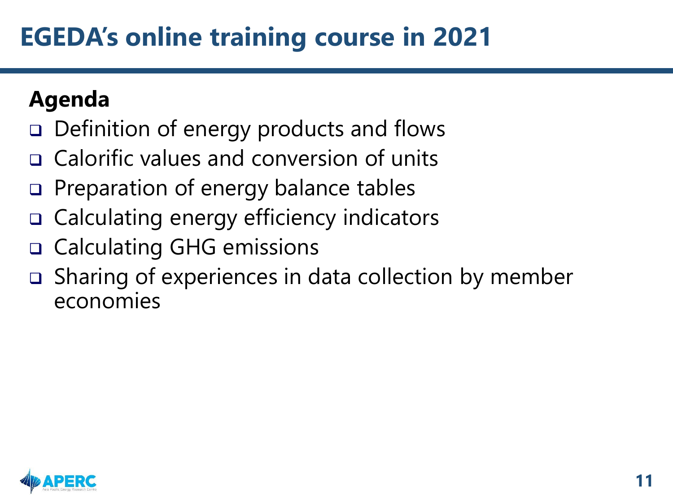### **EGEDA's online training course in 2021**

### **Agenda**

- ❑ Definition of energy products and flows
- ❑ Calorific values and conversion of units
- ❑ Preparation of energy balance tables
- ❑ Calculating energy efficiency indicators
- ❑ Calculating GHG emissions
- ❑ Sharing of experiences in data collection by member economies

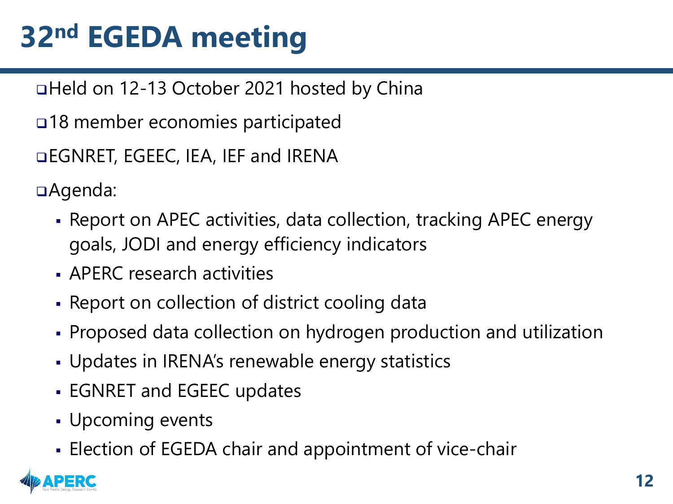## **32nd EGEDA meeting**

❑Held on 12-13 October 2021 hosted by China

❑18 member economies participated

❑EGNRET, EGEEC, IEA, IEF and IRENA

❑Agenda:

- Report on APEC activities, data collection, tracking APEC energy goals, JODI and energy efficiency indicators
- APERC research activities
- Report on collection of district cooling data
- Proposed data collection on hydrogen production and utilization
- Updates in IRENA's renewable energy statistics
- **EGNRET and EGEEC updates**
- Upcoming events
- **Election of EGEDA chair and appointment of vice-chair**

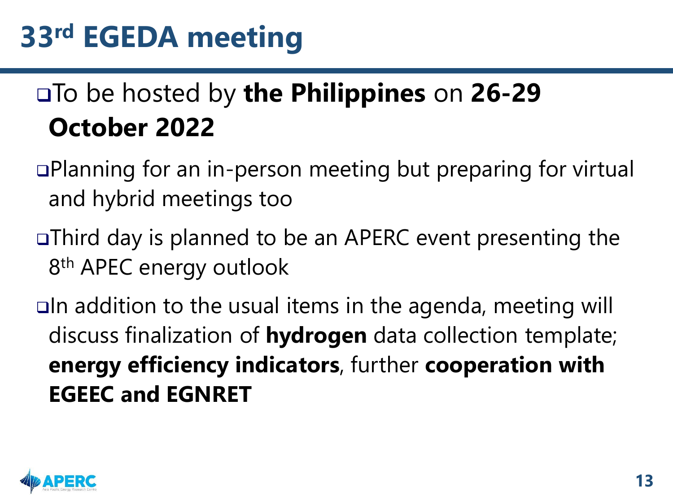### ❑To be hosted by **the Philippines** on **26-29 October 2022**

- ❑Planning for an in-person meeting but preparing for virtual and hybrid meetings too
- ❑Third day is planned to be an APERC event presenting the 8<sup>th</sup> APEC energy outlook

❑In addition to the usual items in the agenda, meeting will discuss finalization of **hydrogen** data collection template; **energy efficiency indicators**, further **cooperation with EGEEC and EGNRET**

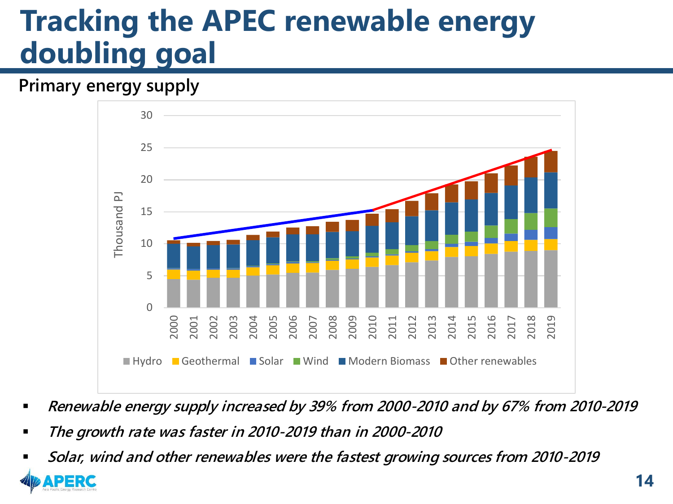### **Tracking the APEC renewable energy doubling goal**

#### *Primary energy supply*



- *Renewable energy supply increased by 39% from 2000-2010 and by 67% from 2010-2019*
- *The growth rate was faster in 2010-2019 than in 2000-2010*
- *Solar, wind and other renewables were the fastest growing sources from 2010-2019*

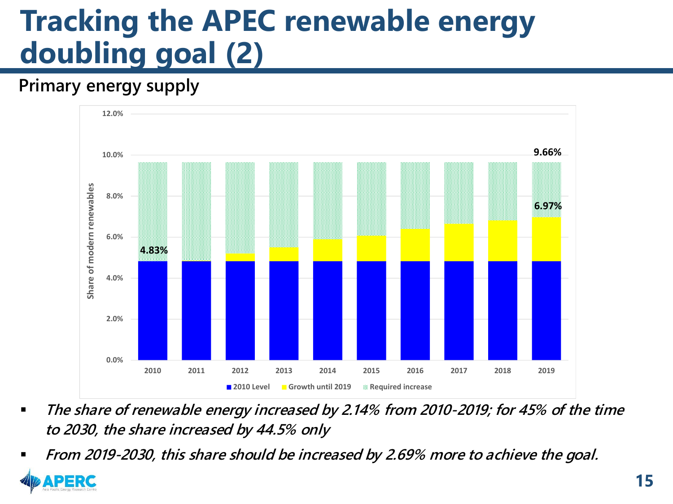## **Tracking the APEC renewable energy doubling goal (2)**

#### *Primary energy supply*



- *The share of renewable energy increased by 2.14% from 2010-2019; for 45% of the time to 2030, the share increased by 44.5% only*
- *From 2019-2030, this share should be increased by 2.69% more to achieve the goal.*

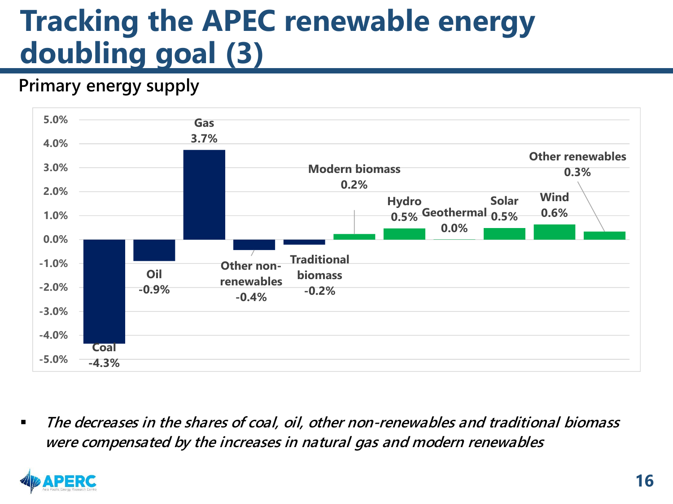### **Tracking the APEC renewable energy doubling goal (3)**

#### *Primary energy supply*



▪ *The decreases in the shares of coal, oil, other non-renewables and traditional biomass were compensated by the increases in natural gas and modern renewables*

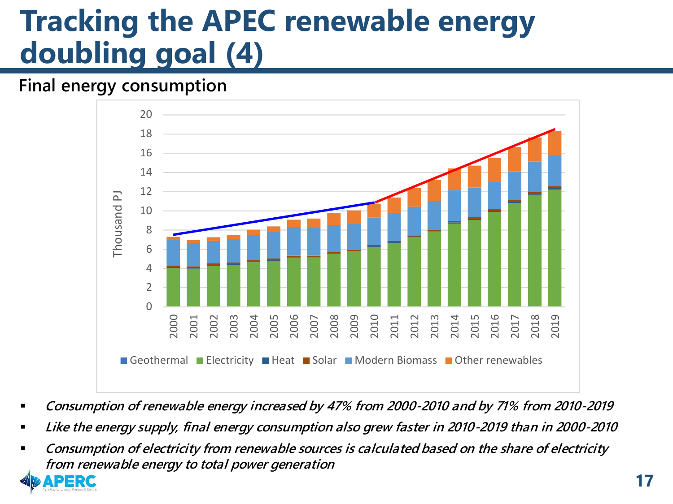### **Tracking the APEC renewable energy doubling goal (4)**

#### *Final energy consumption*



- *Consumption of renewable energy increased by 47% from 2000-2010 and by 71% from 2010-2019*
- *Like the energy supply, final energy consumption also grew faster in 2010-2019 than in 2000-2010*
- *Consumption of electricity from renewable sources is calculated based on the share of electricity from renewable energy to total power generation*

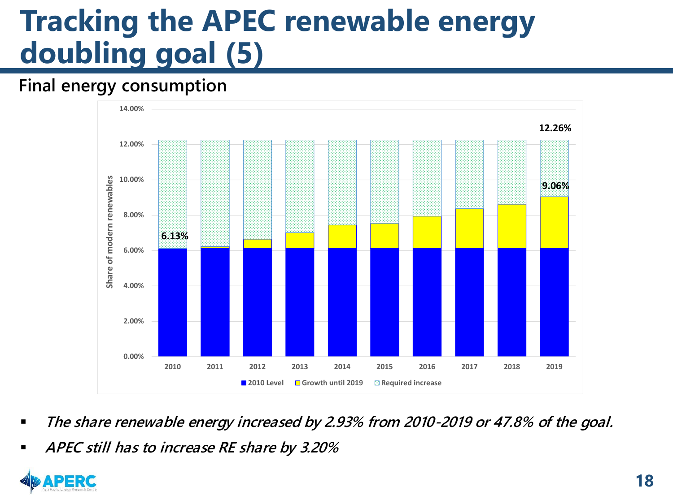## **Tracking the APEC renewable energy doubling goal (5)**

#### *Final energy consumption*



- *The share renewable energy increased by 2.93% from 2010-2019 or 47.8% of the goal.*
- *APEC still has to increase RE share by 3.20%*

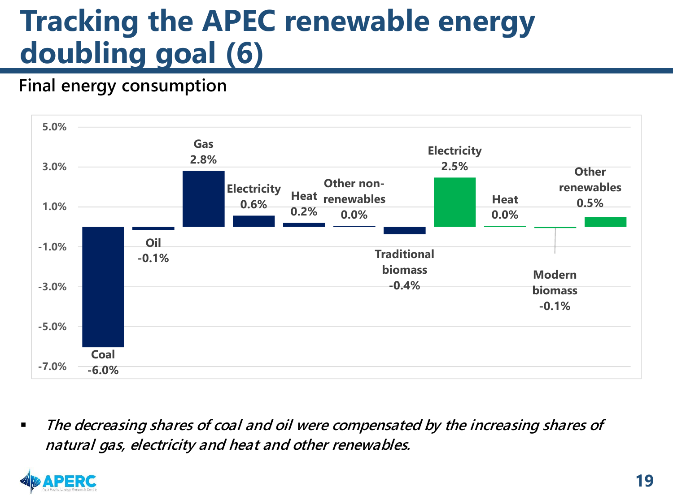### **Tracking the APEC renewable energy doubling goal (6)**

#### *Final energy consumption*



▪ *The decreasing shares of coal and oil were compensated by the increasing shares of natural gas, electricity and heat and other renewables.*

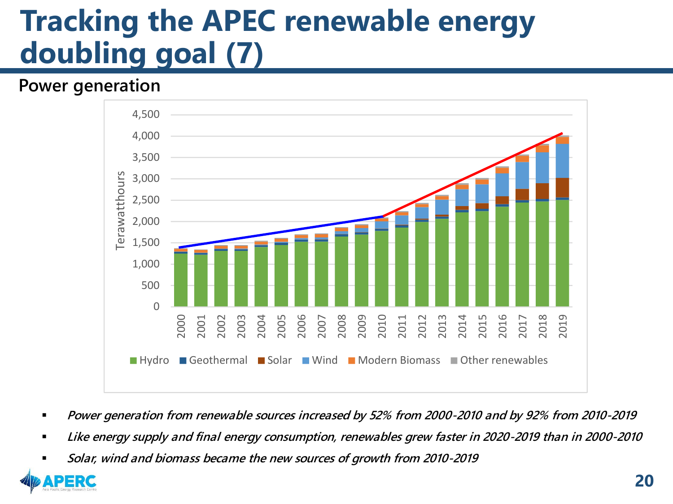### **Tracking the APEC renewable energy doubling goal (7)**

#### *Power generation*



- *Power generation from renewable sources increased by 52% from 2000-2010 and by 92% from 2010-2019*
- Like energy supply and final energy consumption, renewables grew faster in 2020-2019 than in 2000-2010
- *Solar, wind and biomass became the new sources of growth from 2010-2019*

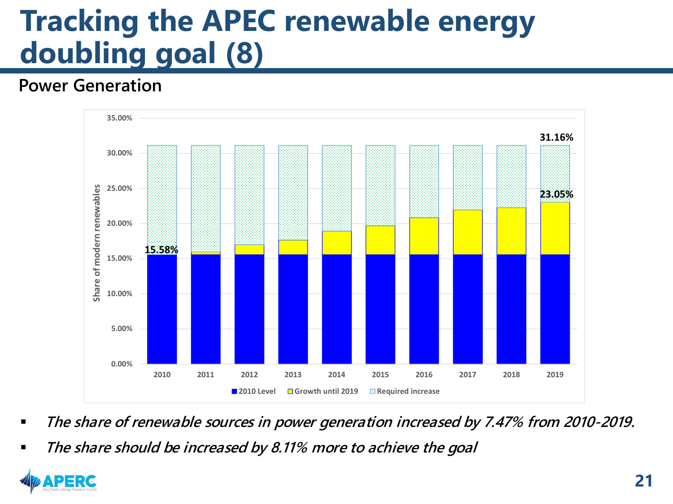## **Tracking the APEC renewable energy doubling goal (8)**

#### *Power Generation*



- *The share of renewable sources in power generation increased by 7.47% from 2010-2019.*
- *The share should be increased by 8.11% more to achieve the goal*

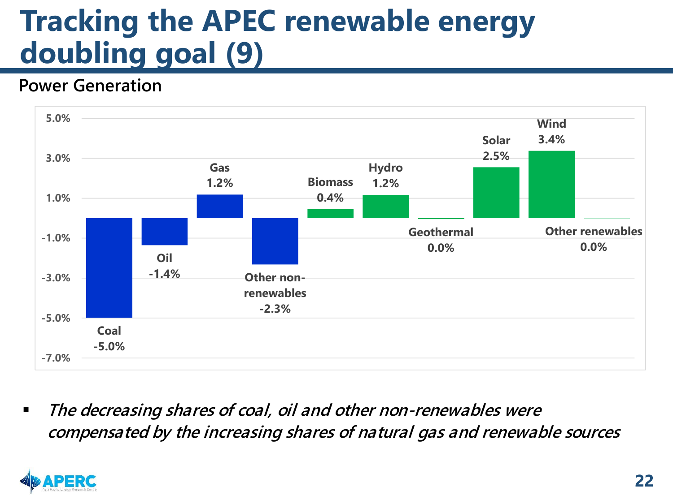### **Tracking the APEC renewable energy doubling goal (9)**

#### *Power Generation*



The decreasing shares of coal, oil and other non-renewables were *compensated by the increasing shares of natural gas and renewable sources*

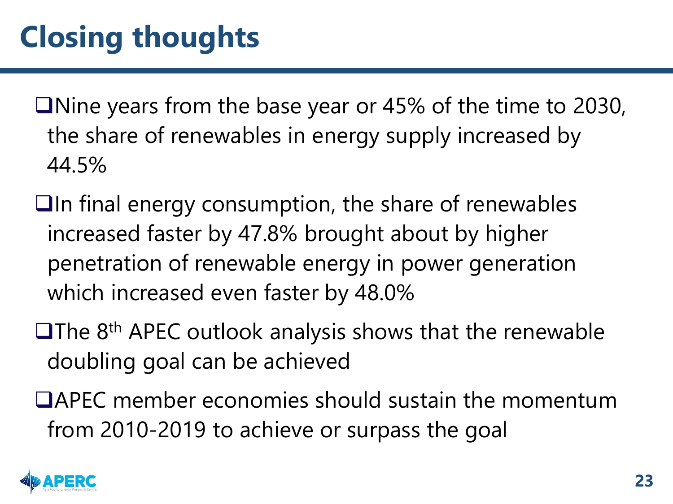❑Nine years from the base year or 45% of the time to 2030, the share of renewables in energy supply increased by 44.5%

- ❑In final energy consumption, the share of renewables increased faster by 47.8% brought about by higher penetration of renewable energy in power generation which increased even faster by 48.0%
- ❑The 8th APEC outlook analysis shows that the renewable doubling goal can be achieved
- ❑APEC member economies should sustain the momentum from 2010-2019 to achieve or surpass the goal